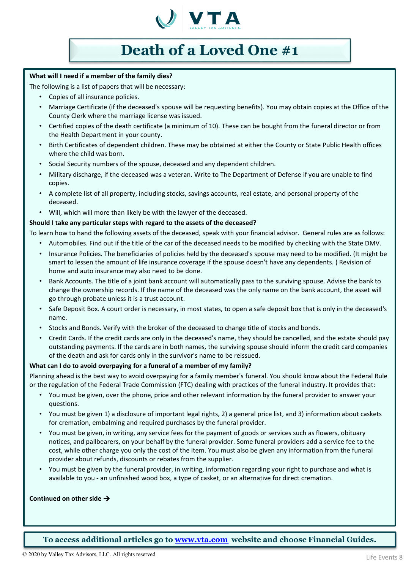

## **Death of a Loved One #1**

## **What will I need if a member of the family dies?**

The following is a list of papers that will be necessary:

- Copies of all insurance policies.
- Marriage Certificate (if the deceased's spouse will be requesting benefits). You may obtain copies at the Office of the County Clerk where the marriage license was issued.
- Certified copies of the death certificate (a minimum of 10). These can be bought from the funeral director or from the Health Department in your county.
- Birth Certificates of dependent children. These may be obtained at either the County or State Public Health offices where the child was born.
- Social Security numbers of the spouse, deceased and any dependent children.
- Military discharge, if the deceased was a veteran. Write to The Department of Defense if you are unable to find copies.
- A complete list of all property, including stocks, savings accounts, real estate, and personal property of the deceased.
- Will, which will more than likely be with the lawyer of the deceased.

## **Should I take any particular steps with regard to the assets of the deceased?**

To learn how to hand the following assets of the deceased, speak with your financial advisor. General rules are as follows:

- Automobiles. Find out if the title of the car of the deceased needs to be modified by checking with the State DMV.
- Insurance Policies. The beneficiaries of policies held by the deceased's spouse may need to be modified. (It might be smart to lessen the amount of life insurance coverage if the spouse doesn't have any dependents. ) Revision of home and auto insurance may also need to be done.
- Bank Accounts. The title of a joint bank account will automatically pass to the surviving spouse. Advise the bank to change the ownership records. If the name of the deceased was the only name on the bank account, the asset will go through probate unless it is a trust account.
- Safe Deposit Box. A court order is necessary, in most states, to open a safe deposit box that is only in the deceased's name.
- Stocks and Bonds. Verify with the broker of the deceased to change title of stocks and bonds.
- Credit Cards. If the credit cards are only in the deceased's name, they should be cancelled, and the estate should pay outstanding payments. If the cards are in both names, the surviving spouse should inform the credit card companies of the death and ask for cards only in the survivor's name to be reissued.

### **What can I do to avoid overpaying for a funeral of a member of my family?**

Planning ahead is the best way to avoid overpaying for a family member's funeral. You should know about the Federal Rule or the regulation of the Federal Trade Commission (FTC) dealing with practices of the funeral industry. It provides that:

- You must be given, over the phone, price and other relevant information by the funeral provider to answer your questions.
- You must be given 1) a disclosure of important legal rights, 2) a general price list, and 3) information about caskets for cremation, embalming and required purchases by the funeral provider.
- You must be given, in writing, any service fees for the payment of goods or services such as flowers, obituary notices, and pallbearers, on your behalf by the funeral provider. Some funeral providers add a service fee to the cost, while other charge you only the cost of the item. You must also be given any information from the funeral provider about refunds, discounts or rebates from the supplier.
- You must be given by the funeral provider, in writing, information regarding your right to purchase and what is available to you - an unfinished wood box, a type of casket, or an alternative for direct cremation.

### **Continued on other side**

**To access additional articles go to [www.vta.com](http://www.vta.com/) website and choose Financial Guides.**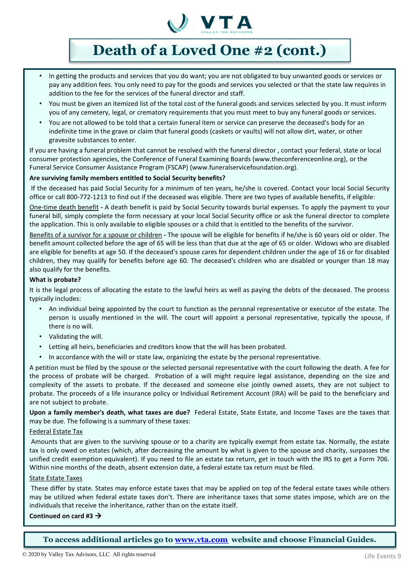

## **Death of a Loved One #2 (cont.)**

- In getting the products and services that you do want; you are not obligated to buy unwanted goods or services or pay any addition fees. You only need to pay for the goods and services you selected or that the state law requires in addition to the fee for the services of the funeral director and staff.
- You must be given an itemized list of the total cost of the funeral goods and services selected by you. It must inform you of any cemetery, legal, or crematory requirements that you must meet to buy any funeral goods or services.
- You are not allowed to be told that a certain funeral item or service can preserve the deceased's body for an indefinite time in the grave or claim that funeral goods (caskets or vaults) will not allow dirt, water, or other gravesite substances to enter.

If you are having a funeral problem that cannot be resolved with the funeral director , contact your federal, state or local consumer protection agencies, the Conference of Funeral Examining Boards (www.theconferenceonline.org), or the Funeral Service Consumer Assistance Program (FSCAP) (www.funeralservicefoundation.org).

### **Are surviving family members entitled to Social Security benefits?**

If the deceased has paid Social Security for a minimum of ten years, he/she is covered. Contact your local Social Security office or call 800-772-1213 to find out if the deceased was eligible. There are two types of available benefits, if eligible:

One-time death benefit **-** A death benefit is paid by Social Security towards burial expenses. To apply the payment to your funeral bill, simply complete the form necessary at your local Social Security office or ask the funeral director to complete the application. This is only available to eligible spouses or a child that is entitled to the benefits of the survivor.

Benefits of a survivor for a spouse or children **-** The spouse will be eligible for benefits if he/she is 60 years old or older. The benefit amount collected before the age of 65 will be less than that due at the age of 65 or older. Widows who are disabled are eligible for benefits at age 50. If the deceased's spouse cares for dependent children under the age of 16 or for disabled children, they may qualify for benefits before age 60. The deceased's children who are disabled or younger than 18 may also qualify for the benefits.

### **What is probate?**

It is the legal process of allocating the estate to the lawful heirs as well as paying the debts of the deceased. The process typically includes:

- An individual being appointed by the court to function as the personal representative or executor of the estate. The person is usually mentioned in the will. The court will appoint a personal representative, typically the spouse, if there is no will.
- Validating the will.
- Letting all heirs, beneficiaries and creditors know that the will has been probated.
- In accordance with the will or state law, organizing the estate by the personal representative.

A petition must be filed by the spouse or the selected personal representative with the court following the death. A fee for the process of probate will be charged. Probation of a will might require legal assistance, depending on the size and complexity of the assets to probate. If the deceased and someone else jointly owned assets, they are not subject to probate. The proceeds of a life insurance policy or Individual Retirement Account (IRA) will be paid to the beneficiary and are not subject to probate.

**Upon a family member's death, what taxes are due?** Federal Estate, State Estate, and Income Taxes are the taxes that may be due. The following is a summary of these taxes:

### Federal Estate Tax

Amounts that are given to the surviving spouse or to a charity are typically exempt from estate tax. Normally, the estate tax is only owed on estates (which, after decreasing the amount by what is given to the spouse and charity, surpasses the unified credit exemption equivalent). If you need to file an estate tax return, get in touch with the IRS to get a Form 706. Within nine months of the death, absent extension date, a federal estate tax return must be filed.

### **State Estate Taxes**

These differ by state. States may enforce estate taxes that may be applied on top of the federal estate taxes while others may be utilized when federal estate taxes don't. There are inheritance taxes that some states impose, which are on the individuals that receive the inheritance, rather than on the estate itself.

### **Continued on card #3**

**To access additional articles go to [www.vta.com](http://www.vta.com/) website and choose Financial Guides.**